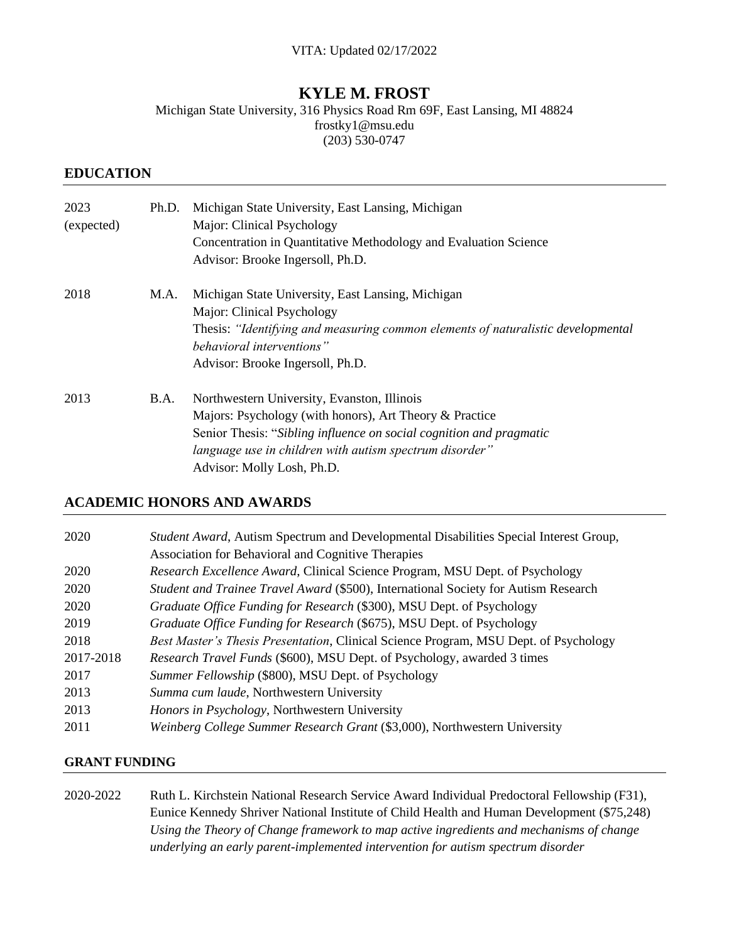# **KYLE M. FROST**

Michigan State University, 316 Physics Road Rm 69F, East Lansing, MI 48824 frostky1@msu.edu (203) 530-0747

#### **EDUCATION**

| 2023<br>(expected) | Ph.D. | Michigan State University, East Lansing, Michigan<br>Major: Clinical Psychology<br>Concentration in Quantitative Methodology and Evaluation Science<br>Advisor: Brooke Ingersoll, Ph.D.                                                                                |
|--------------------|-------|------------------------------------------------------------------------------------------------------------------------------------------------------------------------------------------------------------------------------------------------------------------------|
| 2018               | M.A.  | Michigan State University, East Lansing, Michigan<br>Major: Clinical Psychology<br>Thesis: "Identifying and measuring common elements of naturalistic developmental<br>behavioral interventions"<br>Advisor: Brooke Ingersoll, Ph.D.                                   |
| 2013               | B.A.  | Northwestern University, Evanston, Illinois<br>Majors: Psychology (with honors), Art Theory & Practice<br>Senior Thesis: "Sibling influence on social cognition and pragmatic<br>language use in children with autism spectrum disorder"<br>Advisor: Molly Losh, Ph.D. |

#### **ACADEMIC HONORS AND AWARDS**

| 2020      | Student Award, Autism Spectrum and Developmental Disabilities Special Interest Group,<br>Association for Behavioral and Cognitive Therapies |
|-----------|---------------------------------------------------------------------------------------------------------------------------------------------|
| 2020      | Research Excellence Award, Clinical Science Program, MSU Dept. of Psychology                                                                |
| 2020      | Student and Trainee Travel Award (\$500), International Society for Autism Research                                                         |
| 2020      | Graduate Office Funding for Research (\$300), MSU Dept. of Psychology                                                                       |
| 2019      | Graduate Office Funding for Research (\$675), MSU Dept. of Psychology                                                                       |
| 2018      | Best Master's Thesis Presentation, Clinical Science Program, MSU Dept. of Psychology                                                        |
| 2017-2018 | Research Travel Funds (\$600), MSU Dept. of Psychology, awarded 3 times                                                                     |
| 2017      | Summer Fellowship (\$800), MSU Dept. of Psychology                                                                                          |
| 2013      | Summa cum laude, Northwestern University                                                                                                    |
| 2013      | Honors in Psychology, Northwestern University                                                                                               |
| 2011      | Weinberg College Summer Research Grant (\$3,000), Northwestern University                                                                   |

#### **GRANT FUNDING**

2020-2022 Ruth L. Kirchstein National Research Service Award Individual Predoctoral Fellowship (F31), Eunice Kennedy Shriver National Institute of Child Health and Human Development (\$75,248) *Using the Theory of Change framework to map active ingredients and mechanisms of change underlying an early parent-implemented intervention for autism spectrum disorder*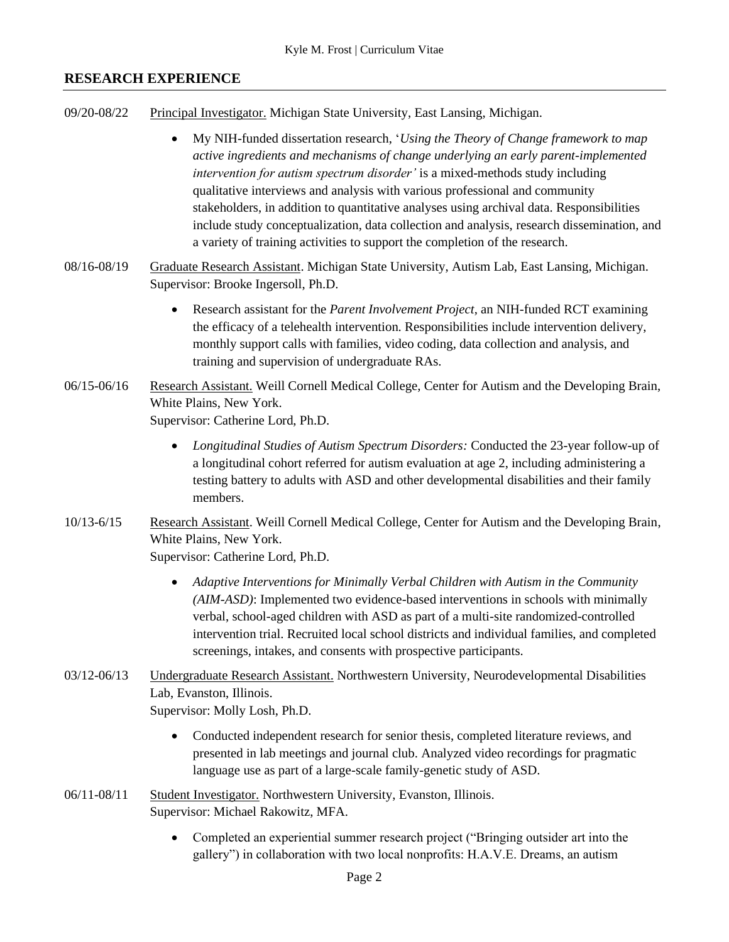# **RESEARCH EXPERIENCE**

- 09/20-08/22 Principal Investigator. Michigan State University, East Lansing, Michigan.
	- My NIH-funded dissertation research, '*Using the Theory of Change framework to map active ingredients and mechanisms of change underlying an early parent-implemented intervention for autism spectrum disorder'* is a mixed-methods study including qualitative interviews and analysis with various professional and community stakeholders, in addition to quantitative analyses using archival data. Responsibilities include study conceptualization, data collection and analysis, research dissemination, and a variety of training activities to support the completion of the research.
- 08/16-08/19 Graduate Research Assistant. Michigan State University, Autism Lab, East Lansing, Michigan. Supervisor: Brooke Ingersoll, Ph.D.
	- Research assistant for the *Parent Involvement Project*, an NIH-funded RCT examining the efficacy of a telehealth intervention. Responsibilities include intervention delivery, monthly support calls with families, video coding, data collection and analysis, and training and supervision of undergraduate RAs.
- 06/15-06/16 Research Assistant. Weill Cornell Medical College, Center for Autism and the Developing Brain, White Plains, New York.

Supervisor: Catherine Lord, Ph.D.

- *Longitudinal Studies of Autism Spectrum Disorders:* Conducted the 23-year follow-up of a longitudinal cohort referred for autism evaluation at age 2, including administering a testing battery to adults with ASD and other developmental disabilities and their family members.
- 10/13-6/15 Research Assistant. Weill Cornell Medical College, Center for Autism and the Developing Brain, White Plains, New York. Supervisor: Catherine Lord, Ph.D.
	- *Adaptive Interventions for Minimally Verbal Children with Autism in the Community (AIM-ASD)*: Implemented two evidence-based interventions in schools with minimally verbal, school-aged children with ASD as part of a multi-site randomized-controlled intervention trial. Recruited local school districts and individual families, and completed screenings, intakes, and consents with prospective participants.
- 03/12-06/13 Undergraduate Research Assistant. Northwestern University, Neurodevelopmental Disabilities Lab, Evanston, Illinois. Supervisor: Molly Losh, Ph.D.
	- Conducted independent research for senior thesis, completed literature reviews, and presented in lab meetings and journal club. Analyzed video recordings for pragmatic language use as part of a large-scale family-genetic study of ASD.
- 06/11-08/11 Student Investigator. Northwestern University, Evanston, Illinois. Supervisor: Michael Rakowitz, MFA.
	- Completed an experiential summer research project ("Bringing outsider art into the gallery") in collaboration with two local nonprofits: H.A.V.E. Dreams, an autism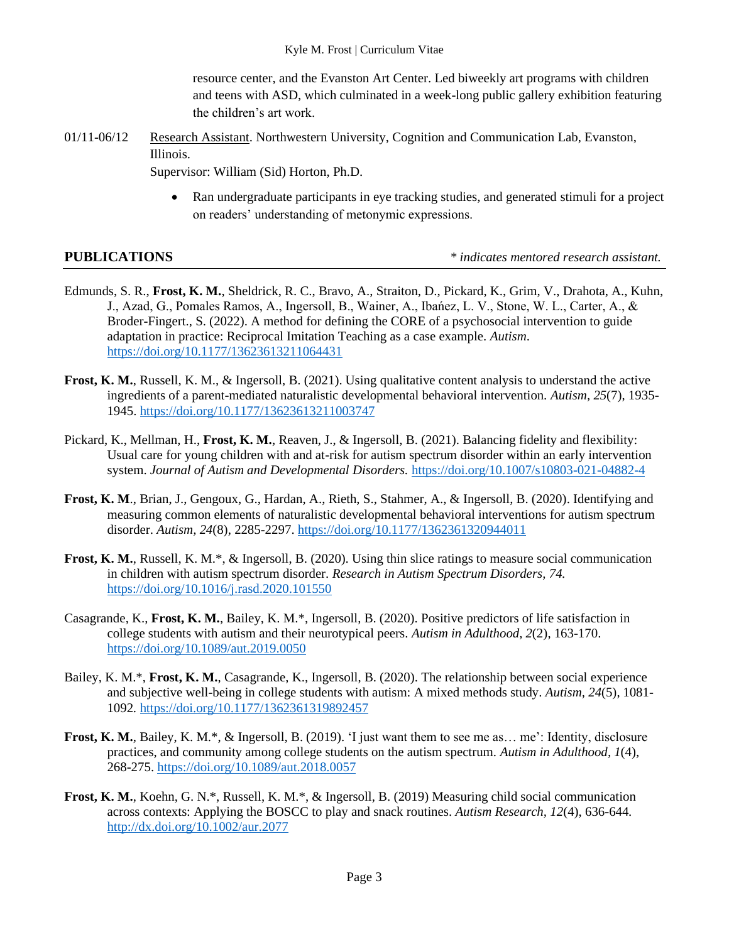resource center, and the Evanston Art Center. Led biweekly art programs with children and teens with ASD, which culminated in a week-long public gallery exhibition featuring the children's art work.

01/11-06/12 Research Assistant. Northwestern University, Cognition and Communication Lab, Evanston, Illinois.

Supervisor: William (Sid) Horton, Ph.D.

• Ran undergraduate participants in eye tracking studies, and generated stimuli for a project on readers' understanding of metonymic expressions.

**PUBLICATIONS** *\* indicates mentored research assistant.*

- Edmunds, S. R., **Frost, K. M.**, Sheldrick, R. C., Bravo, A., Straiton, D., Pickard, K., Grim, V., Drahota, A., Kuhn, J., Azad, G., Pomales Ramos, A., Ingersoll, B., Wainer, A., Ibańez, L. V., Stone, W. L., Carter, A., & Broder-Fingert., S. (2022). A method for defining the CORE of a psychosocial intervention to guide adaptation in practice: Reciprocal Imitation Teaching as a case example. *Autism*. <https://doi.org/10.1177/13623613211064431>
- **Frost, K. M., Russell, K. M., & Ingersoll, B.** (2021). Using qualitative content analysis to understand the active ingredients of a parent-mediated naturalistic developmental behavioral intervention. *Autism, 25*(7), 1935- 1945. [https://doi.org/10.1177/13623613211003747](https://doi.org/10.1177%2F13623613211003747)
- Pickard, K., Mellman, H., **Frost, K. M.**, Reaven, J., & Ingersoll, B. (2021). Balancing fidelity and flexibility: Usual care for young children with and at-risk for autism spectrum disorder within an early intervention system. *Journal of Autism and Developmental Disorders.* <https://doi.org/10.1007/s10803-021-04882-4>
- **Frost, K. M**., Brian, J., Gengoux, G., Hardan, A., Rieth, S., Stahmer, A., & Ingersoll, B. (2020). Identifying and measuring common elements of naturalistic developmental behavioral interventions for autism spectrum disorder. *Autism, 24*(8), 2285-2297. [https://doi.org/10.1177/1362361320944011](https://doi.org/10.1177%2F1362361320944011)
- **Frost, K. M.**, Russell, K. M.\*, & Ingersoll, B. (2020). Using thin slice ratings to measure social communication in children with autism spectrum disorder. *Research in Autism Spectrum Disorders, 74.* <https://doi.org/10.1016/j.rasd.2020.101550>
- Casagrande, K., **Frost, K. M.**, Bailey, K. M.\*, Ingersoll, B. (2020). Positive predictors of life satisfaction in college students with autism and their neurotypical peers. *Autism in Adulthood, 2*(2), 163-170. <https://doi.org/10.1089/aut.2019.0050>
- Bailey, K. M.\*, **Frost, K. M.**, Casagrande, K., Ingersoll, B. (2020). The relationship between social experience and subjective well-being in college students with autism: A mixed methods study. *Autism, 24*(5), 1081- 1092*.* <https://doi.org/10.1177/1362361319892457>
- **Frost, K. M.**, Bailey, K. M.\*, & Ingersoll, B. (2019). 'I just want them to see me as… me': Identity, disclosure practices, and community among college students on the autism spectrum. *Autism in Adulthood, 1*(4), 268-275. <https://doi.org/10.1089/aut.2018.0057>
- **Frost, K. M.**, Koehn, G. N.\*, Russell, K. M.\*, & Ingersoll, B. (2019) Measuring child social communication across contexts: Applying the BOSCC to play and snack routines. *Autism Research, 12*(4), 636-644*.* <http://dx.doi.org/10.1002/aur.2077>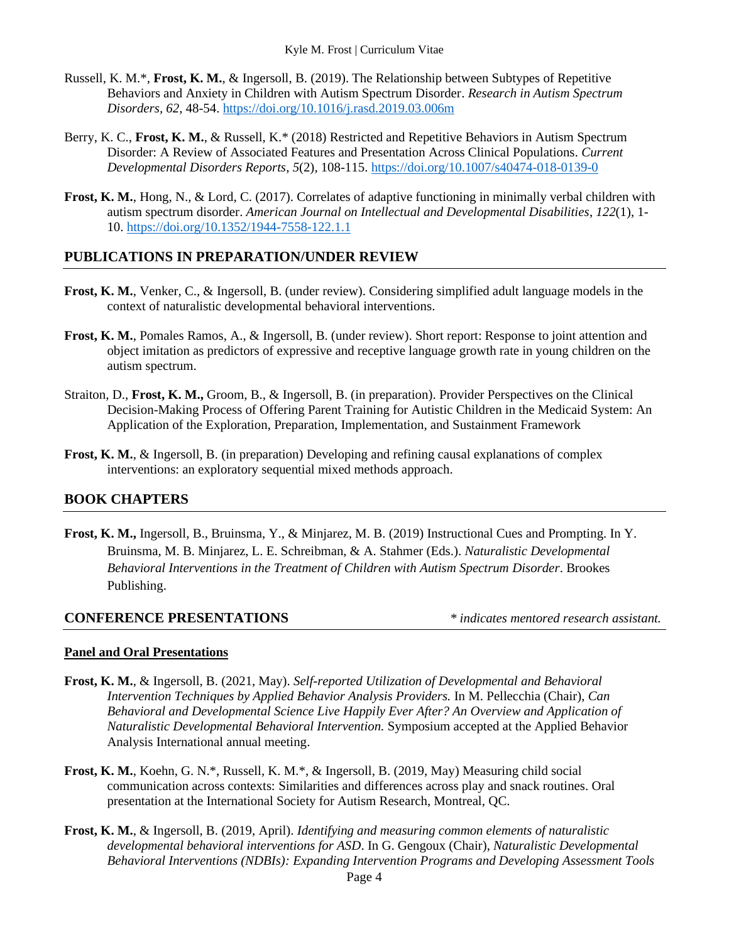- Russell, K. M.\*, **Frost, K. M.**, & Ingersoll, B. (2019). The Relationship between Subtypes of Repetitive Behaviors and Anxiety in Children with Autism Spectrum Disorder. *Research in Autism Spectrum Disorders, 62,* 48-54. <https://doi.org/10.1016/j.rasd.2019.03.006m>
- Berry, K. C., **Frost, K. M.**, & Russell, K.\* (2018) Restricted and Repetitive Behaviors in Autism Spectrum Disorder: A Review of Associated Features and Presentation Across Clinical Populations. *Current Developmental Disorders Reports*, *5*(2), 108-115. <https://doi.org/10.1007/s40474-018-0139-0>
- **Frost, K. M.**, Hong, N., & Lord, C. (2017). Correlates of adaptive functioning in minimally verbal children with autism spectrum disorder. *American Journal on Intellectual and Developmental Disabilities*, *122*(1), 1- 10. <https://doi.org/10.1352/1944-7558-122.1.1>

# **PUBLICATIONS IN PREPARATION/UNDER REVIEW**

- **Frost, K. M.**, Venker, C., & Ingersoll, B. (under review). Considering simplified adult language models in the context of naturalistic developmental behavioral interventions.
- **Frost, K. M.**, Pomales Ramos, A., & Ingersoll, B. (under review). Short report: Response to joint attention and object imitation as predictors of expressive and receptive language growth rate in young children on the autism spectrum.
- Straiton, D., **Frost, K. M.,** Groom, B., & Ingersoll, B. (in preparation). Provider Perspectives on the Clinical Decision-Making Process of Offering Parent Training for Autistic Children in the Medicaid System: An Application of the Exploration, Preparation, Implementation, and Sustainment Framework
- **Frost, K. M.**, & Ingersoll, B. (in preparation) Developing and refining causal explanations of complex interventions: an exploratory sequential mixed methods approach.

## **BOOK CHAPTERS**

**Frost, K. M.,** Ingersoll, B., Bruinsma, Y., & Minjarez, M. B. (2019) Instructional Cues and Prompting. In Y. Bruinsma, M. B. Minjarez, L. E. Schreibman, & A. Stahmer (Eds.). *Naturalistic Developmental Behavioral Interventions in the Treatment of Children with Autism Spectrum Disorder*. Brookes Publishing.

#### **CONFERENCE PRESENTATIONS** *\* indicates mentored research assistant.*

#### **Panel and Oral Presentations**

- **Frost, K. M.**, & Ingersoll, B. (2021, May). *Self-reported Utilization of Developmental and Behavioral Intervention Techniques by Applied Behavior Analysis Providers.* In M. Pellecchia (Chair), *Can Behavioral and Developmental Science Live Happily Ever After? An Overview and Application of Naturalistic Developmental Behavioral Intervention.* Symposium accepted at the Applied Behavior Analysis International annual meeting.
- **Frost, K. M.**, Koehn, G. N.\*, Russell, K. M.\*, & Ingersoll, B. (2019, May) Measuring child social communication across contexts: Similarities and differences across play and snack routines. Oral presentation at the International Society for Autism Research, Montreal, QC.
- **Frost, K. M.**, & Ingersoll, B. (2019, April). *Identifying and measuring common elements of naturalistic developmental behavioral interventions for ASD*. In G. Gengoux (Chair), *Naturalistic Developmental Behavioral Interventions (NDBIs): Expanding Intervention Programs and Developing Assessment Tools*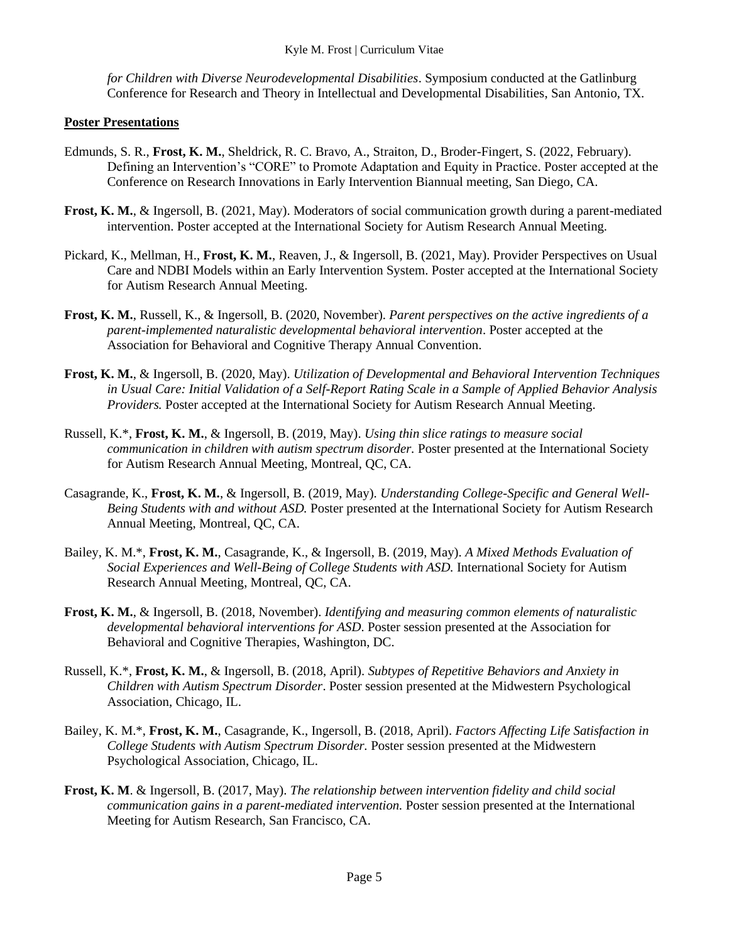*for Children with Diverse Neurodevelopmental Disabilities*. Symposium conducted at the Gatlinburg Conference for Research and Theory in Intellectual and Developmental Disabilities, San Antonio, TX.

#### **Poster Presentations**

- Edmunds, S. R., **Frost, K. M.**, Sheldrick, R. C. Bravo, A., Straiton, D., Broder-Fingert, S. (2022, February). Defining an Intervention's "CORE" to Promote Adaptation and Equity in Practice. Poster accepted at the Conference on Research Innovations in Early Intervention Biannual meeting, San Diego, CA.
- **Frost, K. M.**, & Ingersoll, B. (2021, May). Moderators of social communication growth during a parent-mediated intervention. Poster accepted at the International Society for Autism Research Annual Meeting.
- Pickard, K., Mellman, H., **Frost, K. M.**, Reaven, J., & Ingersoll, B. (2021, May). Provider Perspectives on Usual Care and NDBI Models within an Early Intervention System. Poster accepted at the International Society for Autism Research Annual Meeting.
- **Frost, K. M.**, Russell, K., & Ingersoll, B. (2020, November). *Parent perspectives on the active ingredients of a parent-implemented naturalistic developmental behavioral intervention*. Poster accepted at the Association for Behavioral and Cognitive Therapy Annual Convention.
- **Frost, K. M.**, & Ingersoll, B. (2020, May). *Utilization of Developmental and Behavioral Intervention Techniques in Usual Care: Initial Validation of a Self-Report Rating Scale in a Sample of Applied Behavior Analysis Providers.* Poster accepted at the International Society for Autism Research Annual Meeting.
- Russell, K.\*, **Frost, K. M.**, & Ingersoll, B. (2019, May). *Using thin slice ratings to measure social communication in children with autism spectrum disorder.* Poster presented at the International Society for Autism Research Annual Meeting, Montreal, QC, CA.
- Casagrande, K., **Frost, K. M.**, & Ingersoll, B. (2019, May). *Understanding College-Specific and General Well-Being Students with and without ASD.* Poster presented at the International Society for Autism Research Annual Meeting, Montreal, QC, CA.
- Bailey, K. M.\*, **Frost, K. M.**, Casagrande, K., & Ingersoll, B. (2019, May). *A Mixed Methods Evaluation of Social Experiences and Well-Being of College Students with ASD.* International Society for Autism Research Annual Meeting, Montreal, QC, CA.
- **Frost, K. M.**, & Ingersoll, B. (2018, November). *Identifying and measuring common elements of naturalistic developmental behavioral interventions for ASD*. Poster session presented at the Association for Behavioral and Cognitive Therapies, Washington, DC.
- Russell, K.\*, **Frost, K. M.**, & Ingersoll, B. (2018, April). *Subtypes of Repetitive Behaviors and Anxiety in Children with Autism Spectrum Disorder*. Poster session presented at the Midwestern Psychological Association, Chicago, IL.
- Bailey, K. M.\*, **Frost, K. M.**, Casagrande, K., Ingersoll, B. (2018, April). *Factors Affecting Life Satisfaction in College Students with Autism Spectrum Disorder.* Poster session presented at the Midwestern Psychological Association, Chicago, IL.
- **Frost, K. M**. & Ingersoll, B. (2017, May). *The relationship between intervention fidelity and child social communication gains in a parent-mediated intervention.* Poster session presented at the International Meeting for Autism Research, San Francisco, CA.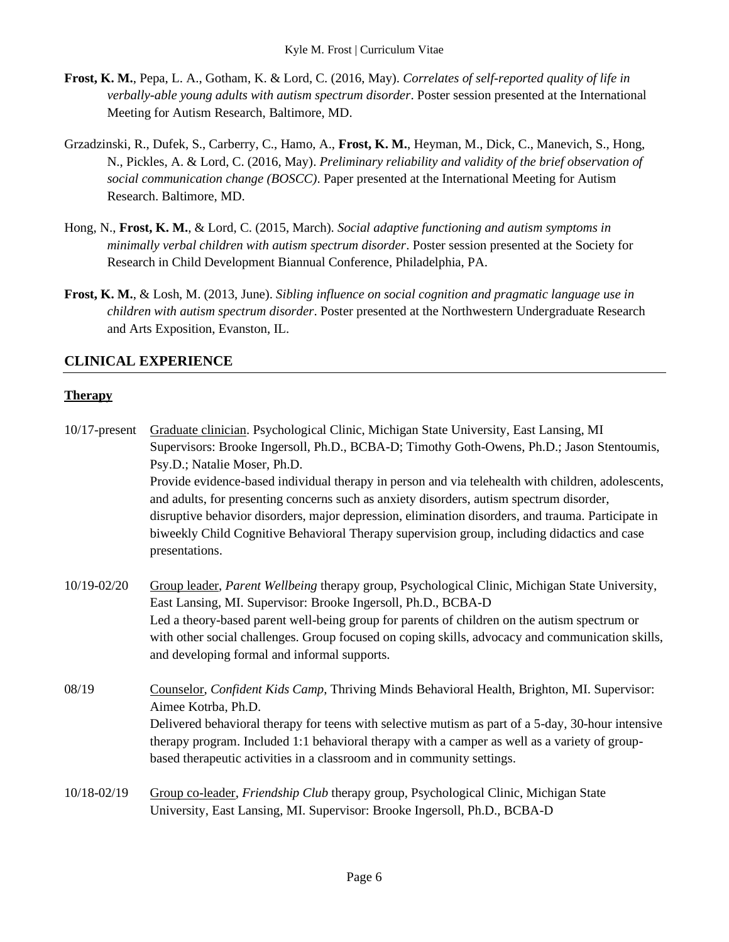- **Frost, K. M.**, Pepa, L. A., Gotham, K. & Lord, C. (2016, May). *Correlates of self-reported quality of life in verbally-able young adults with autism spectrum disorder*. Poster session presented at the International Meeting for Autism Research, Baltimore, MD.
- Grzadzinski, R., Dufek, S., Carberry, C., Hamo, A., **Frost, K. M.**, Heyman, M., Dick, C., Manevich, S., Hong, N., Pickles, A. & Lord, C. (2016, May). *Preliminary reliability and validity of the brief observation of social communication change (BOSCC)*. Paper presented at the International Meeting for Autism Research. Baltimore, MD.
- Hong, N., **Frost, K. M.**, & Lord, C. (2015, March). *Social adaptive functioning and autism symptoms in minimally verbal children with autism spectrum disorder*. Poster session presented at the Society for Research in Child Development Biannual Conference, Philadelphia, PA.
- **Frost, K. M.**, & Losh, M. (2013, June). *Sibling influence on social cognition and pragmatic language use in children with autism spectrum disorder*. Poster presented at the Northwestern Undergraduate Research and Arts Exposition, Evanston, IL.

# **CLINICAL EXPERIENCE**

# **Therapy**

| $10/17$ -present | Graduate clinician. Psychological Clinic, Michigan State University, East Lansing, MI                                                                                                                                                                                                                |  |
|------------------|------------------------------------------------------------------------------------------------------------------------------------------------------------------------------------------------------------------------------------------------------------------------------------------------------|--|
|                  | Supervisors: Brooke Ingersoll, Ph.D., BCBA-D; Timothy Goth-Owens, Ph.D.; Jason Stentoumis,                                                                                                                                                                                                           |  |
|                  | Psy.D.; Natalie Moser, Ph.D.                                                                                                                                                                                                                                                                         |  |
|                  | Provide evidence-based individual therapy in person and via telehealth with children, adolescents,<br>and adults, for presenting concerns such as anxiety disorders, autism spectrum disorder,<br>disruptive behavior disorders, major depression, elimination disorders, and trauma. Participate in |  |
|                  | biweekly Child Cognitive Behavioral Therapy supervision group, including didactics and case<br>presentations.                                                                                                                                                                                        |  |
| 10/19-02/20      | Group leader, Parent Wellbeing therapy group, Psychological Clinic, Michigan State University,<br>East Lansing, MI. Supervisor: Brooke Ingersoll, Ph.D., BCBA-D                                                                                                                                      |  |
|                  | Led a theory-based parent well-being group for parents of children on the autism spectrum or<br>with other social challenges. Group focused on coping skills, advocacy and communication skills,<br>and developing formal and informal supports.                                                     |  |
| 08/19            | Counselor, Confident Kids Camp, Thriving Minds Behavioral Health, Brighton, MI. Supervisor:<br>Aimee Kotrba, Ph.D.                                                                                                                                                                                   |  |
|                  | Delivered behavioral therapy for teens with selective mutism as part of a 5-day, 30-hour intensive<br>therapy program. Included 1:1 behavioral therapy with a camper as well as a variety of group-<br>based therapeutic activities in a classroom and in community settings.                        |  |
| 10/18-02/19      | Group co-leader, Friendship Club therapy group, Psychological Clinic, Michigan State<br>University, East Lansing, MI. Supervisor: Brooke Ingersoll, Ph.D., BCBA-D                                                                                                                                    |  |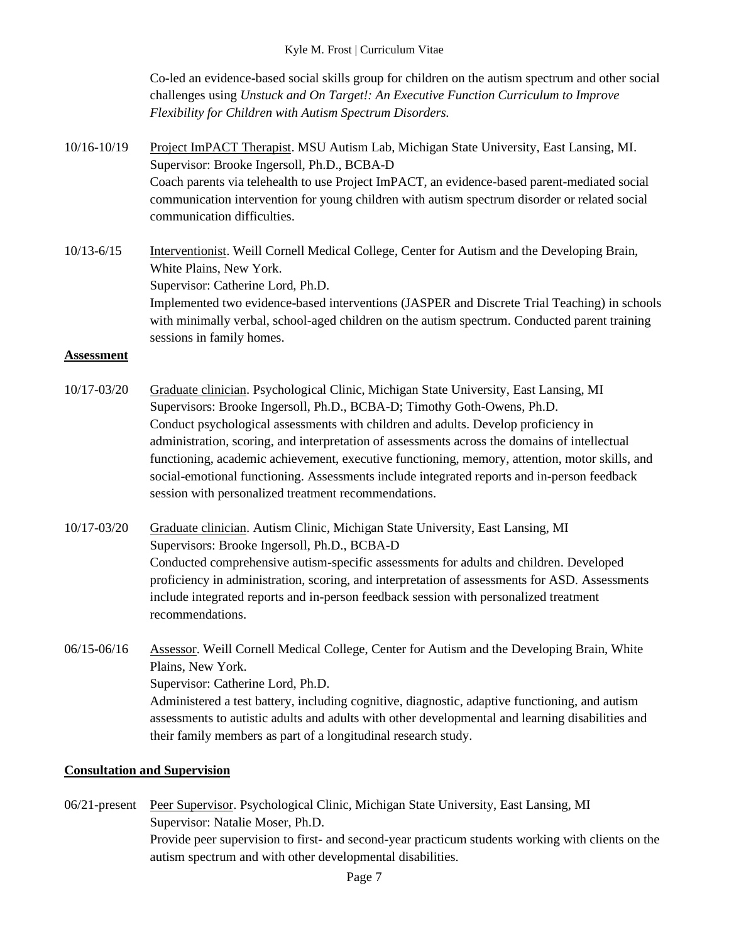Co-led an evidence-based social skills group for children on the autism spectrum and other social challenges using *Unstuck and On Target!: An Executive Function Curriculum to Improve Flexibility for Children with Autism Spectrum Disorders.*

10/16-10/19 Project ImPACT Therapist. MSU Autism Lab, Michigan State University, East Lansing, MI. Supervisor: Brooke Ingersoll, Ph.D., BCBA-D Coach parents via telehealth to use Project ImPACT, an evidence-based parent-mediated social communication intervention for young children with autism spectrum disorder or related social communication difficulties.

10/13-6/15 Interventionist. Weill Cornell Medical College, Center for Autism and the Developing Brain, White Plains, New York. Supervisor: Catherine Lord, Ph.D. Implemented two evidence-based interventions (JASPER and Discrete Trial Teaching) in schools with minimally verbal, school-aged children on the autism spectrum. Conducted parent training sessions in family homes.

#### **Assessment**

- 10/17-03/20 Graduate clinician. Psychological Clinic, Michigan State University, East Lansing, MI Supervisors: Brooke Ingersoll, Ph.D., BCBA-D; Timothy Goth-Owens, Ph.D. Conduct psychological assessments with children and adults. Develop proficiency in administration, scoring, and interpretation of assessments across the domains of intellectual functioning, academic achievement, executive functioning, memory, attention, motor skills, and social-emotional functioning. Assessments include integrated reports and in-person feedback session with personalized treatment recommendations.
- 10/17-03/20 Graduate clinician. Autism Clinic, Michigan State University, East Lansing, MI Supervisors: Brooke Ingersoll, Ph.D., BCBA-D Conducted comprehensive autism-specific assessments for adults and children. Developed proficiency in administration, scoring, and interpretation of assessments for ASD. Assessments include integrated reports and in-person feedback session with personalized treatment recommendations.
- 06/15-06/16 Assessor. Weill Cornell Medical College, Center for Autism and the Developing Brain, White Plains, New York. Supervisor: Catherine Lord, Ph.D. Administered a test battery, including cognitive, diagnostic, adaptive functioning, and autism assessments to autistic adults and adults with other developmental and learning disabilities and their family members as part of a longitudinal research study.

## **Consultation and Supervision**

06/21-present Peer Supervisor. Psychological Clinic, Michigan State University, East Lansing, MI Supervisor: Natalie Moser, Ph.D. Provide peer supervision to first- and second-year practicum students working with clients on the autism spectrum and with other developmental disabilities.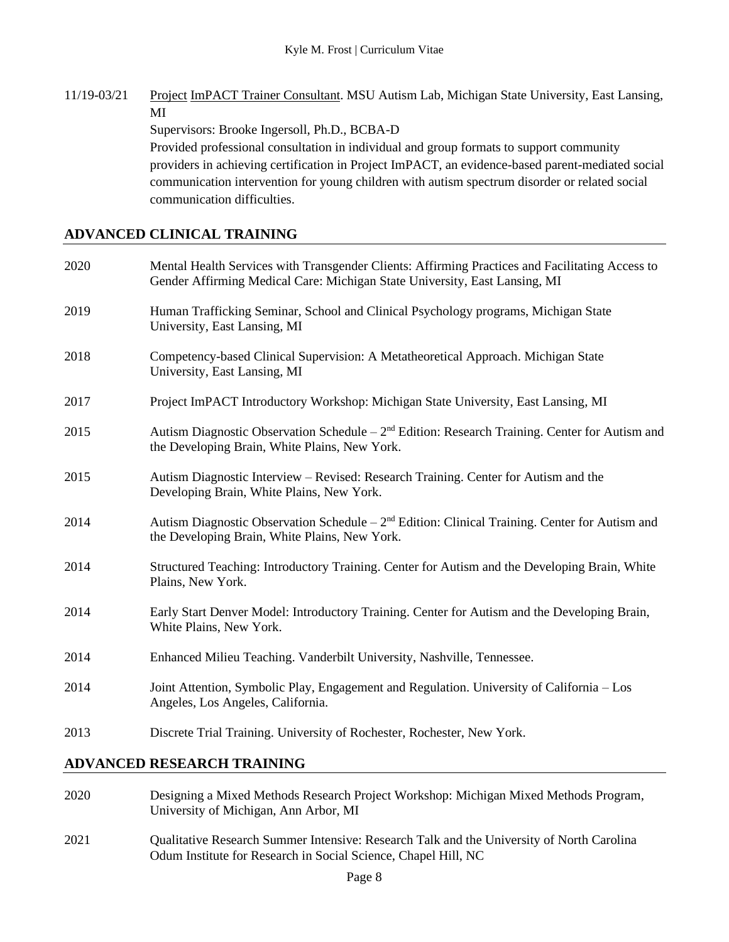11/19-03/21 Project ImPACT Trainer Consultant. MSU Autism Lab, Michigan State University, East Lansing, MI

Supervisors: Brooke Ingersoll, Ph.D., BCBA-D

Provided professional consultation in individual and group formats to support community providers in achieving certification in Project ImPACT, an evidence-based parent-mediated social communication intervention for young children with autism spectrum disorder or related social communication difficulties.

# **ADVANCED CLINICAL TRAINING**

| Mental Health Services with Transgender Clients: Affirming Practices and Facilitating Access to<br>Gender Affirming Medical Care: Michigan State University, East Lansing, MI |
|-------------------------------------------------------------------------------------------------------------------------------------------------------------------------------|
| Human Trafficking Seminar, School and Clinical Psychology programs, Michigan State<br>University, East Lansing, MI                                                            |
| Competency-based Clinical Supervision: A Metatheoretical Approach. Michigan State<br>University, East Lansing, MI                                                             |
| Project ImPACT Introductory Workshop: Michigan State University, East Lansing, MI                                                                                             |
| Autism Diagnostic Observation Schedule - 2 <sup>nd</sup> Edition: Research Training. Center for Autism and<br>the Developing Brain, White Plains, New York.                   |
| Autism Diagnostic Interview – Revised: Research Training. Center for Autism and the<br>Developing Brain, White Plains, New York.                                              |
| Autism Diagnostic Observation Schedule – $2nd$ Edition: Clinical Training. Center for Autism and<br>the Developing Brain, White Plains, New York.                             |
| Structured Teaching: Introductory Training. Center for Autism and the Developing Brain, White<br>Plains, New York.                                                            |
| Early Start Denver Model: Introductory Training. Center for Autism and the Developing Brain,<br>White Plains, New York.                                                       |
| Enhanced Milieu Teaching. Vanderbilt University, Nashville, Tennessee.                                                                                                        |
| Joint Attention, Symbolic Play, Engagement and Regulation. University of California - Los<br>Angeles, Los Angeles, California.                                                |
| Discrete Trial Training. University of Rochester, Rochester, New York.                                                                                                        |
|                                                                                                                                                                               |

## **ADVANCED RESEARCH TRAINING**

- 2020 Designing a Mixed Methods Research Project Workshop: Michigan Mixed Methods Program, University of Michigan, Ann Arbor, MI
- 2021 Qualitative Research Summer Intensive: Research Talk and the University of North Carolina Odum Institute for Research in Social Science, Chapel Hill, NC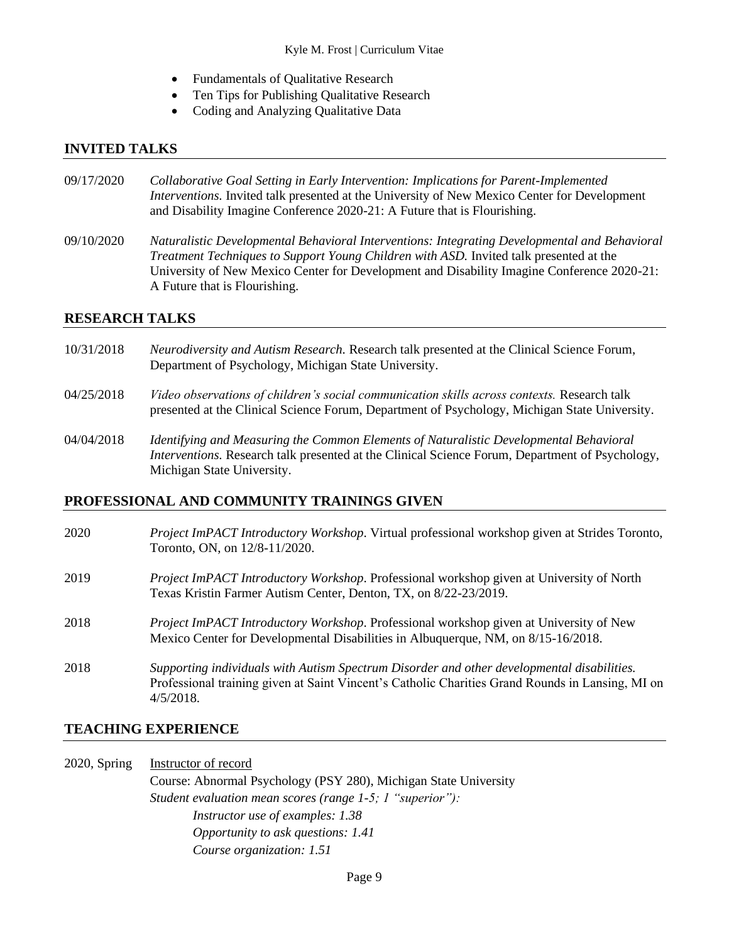- Fundamentals of Qualitative Research
- Ten Tips for Publishing Qualitative Research
- Coding and Analyzing Qualitative Data

#### **INVITED TALKS**

- 09/17/2020 *Collaborative Goal Setting in Early Intervention: Implications for Parent-Implemented Interventions.* Invited talk presented at the University of New Mexico Center for Development and Disability Imagine Conference 2020-21: A Future that is Flourishing.
- 09/10/2020 *Naturalistic Developmental Behavioral Interventions: Integrating Developmental and Behavioral Treatment Techniques to Support Young Children with ASD.* Invited talk presented at the University of New Mexico Center for Development and Disability Imagine Conference 2020-21: A Future that is Flourishing.

#### **RESEARCH TALKS**

- 10/31/2018 *Neurodiversity and Autism Research.* Research talk presented at the Clinical Science Forum, Department of Psychology, Michigan State University.
- 04/25/2018 *Video observations of children's social communication skills across contexts.* Research talk presented at the Clinical Science Forum, Department of Psychology, Michigan State University.
- 04/04/2018 *Identifying and Measuring the Common Elements of Naturalistic Developmental Behavioral Interventions.* Research talk presented at the Clinical Science Forum, Department of Psychology, Michigan State University.

## **PROFESSIONAL AND COMMUNITY TRAININGS GIVEN**

| 2020 | <i>Project ImPACT Introductory Workshop.</i> Virtual professional workshop given at Strides Toronto,<br>Toronto, ON, on 12/8-11/2020.                                                                          |
|------|----------------------------------------------------------------------------------------------------------------------------------------------------------------------------------------------------------------|
| 2019 | <i>Project ImPACT Introductory Workshop.</i> Professional workshop given at University of North<br>Texas Kristin Farmer Autism Center, Denton, TX, on 8/22-23/2019.                                            |
| 2018 | Project ImPACT Introductory Workshop. Professional workshop given at University of New<br>Mexico Center for Developmental Disabilities in Albuquerque, NM, on 8/15-16/2018.                                    |
| 2018 | Supporting individuals with Autism Spectrum Disorder and other developmental disabilities.<br>Professional training given at Saint Vincent's Catholic Charities Grand Rounds in Lansing, MI on<br>$4/5/2018$ . |

## **TEACHING EXPERIENCE**

2020, Spring Instructor of record Course: Abnormal Psychology (PSY 280), Michigan State University *Student evaluation mean scores (range 1-5; 1 "superior"): Instructor use of examples: 1.38 Opportunity to ask questions: 1.41 Course organization: 1.51*